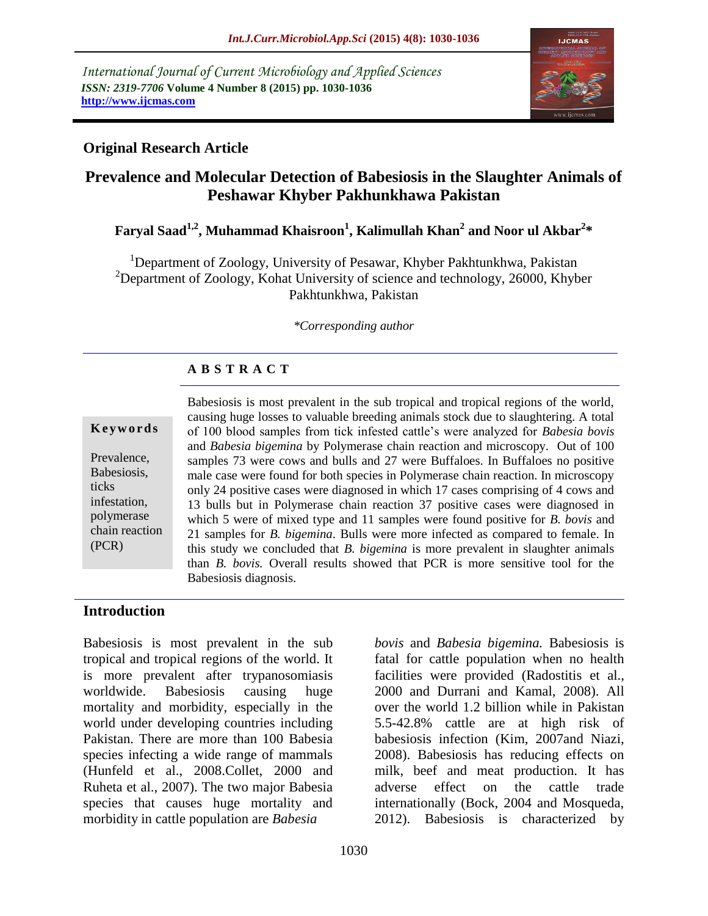*International Journal of Current Microbiology and Applied Sciences ISSN: 2319-7706* **Volume 4 Number 8 (2015) pp. 1030-1036 http://www.ijcmas.com** 



# **Original Research Article**

# **Prevalence and Molecular Detection of Babesiosis in the Slaughter Animals of Peshawar Khyber Pakhunkhawa Pakistan**

# **Faryal Saad1,2, Muhammad Khaisroon<sup>1</sup> , Kalimullah Khan<sup>2</sup> and Noor ul Akbar<sup>2</sup> \***

<sup>1</sup>Department of Zoology, University of Pesawar, Khyber Pakhtunkhwa, Pakistan <sup>2</sup>Department of Zoology, Kohat University of science and technology, 26000, Khyber Pakhtunkhwa, Pakistan

*\*Corresponding author*

## **A B S T R A C T**

#### **K e y w o r d s**

Prevalence, Babesiosis, ticks infestation, polymerase chain reaction (PCR)

Babesiosis is most prevalent in the sub tropical and tropical regions of the world, causing huge losses to valuable breeding animals stock due to slaughtering. A total of 100 blood samples from tick infested cattle's were analyzed for *Babesia bovis*  and *Babesia bigemina* by Polymerase chain reaction and microscopy. Out of 100 samples 73 were cows and bulls and 27 were Buffaloes. In Buffaloes no positive male case were found for both species in Polymerase chain reaction. In microscopy only 24 positive cases were diagnosed in which 17 cases comprising of 4 cows and 13 bulls but in Polymerase chain reaction 37 positive cases were diagnosed in which 5 were of mixed type and 11 samples were found positive for *B. bovis* and 21 samples for *B. bigemina*. Bulls were more infected as compared to female. In this study we concluded that *B. bigemina* is more prevalent in slaughter animals than *B. bovis.* Overall results showed that PCR is more sensitive tool for the Babesiosis diagnosis.

### **Introduction**

Babesiosis is most prevalent in the sub tropical and tropical regions of the world. It is more prevalent after trypanosomiasis worldwide. Babesiosis causing huge mortality and morbidity, especially in the world under developing countries including Pakistan. There are more than 100 Babesia species infecting a wide range of mammals (Hunfeld et al., 2008.Collet, 2000 and Ruheta et al., 2007). The two major Babesia species that causes huge mortality and morbidity in cattle population are *Babesia*

*bovis* and *Babesia bigemina.* Babesiosis is fatal for cattle population when no health facilities were provided (Radostitis et al., 2000 and Durrani and Kamal, 2008). All over the world 1.2 billion while in Pakistan 5.5-42.8% cattle are at high risk of babesiosis infection (Kim, 2007and Niazi, 2008). Babesiosis has reducing effects on milk, beef and meat production. It has adverse effect on the cattle trade internationally (Bock, 2004 and Mosqueda, 2012). Babesiosis is characterized by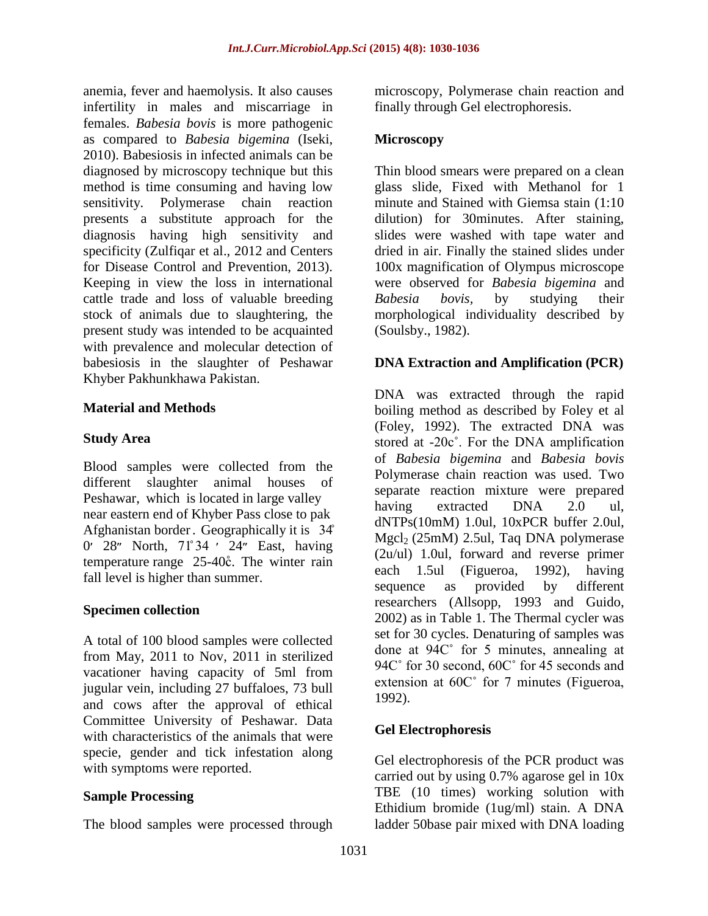anemia, fever and haemolysis. It also causes infertility in males and miscarriage in females. *Babesia bovis* is more pathogenic as compared to *Babesia bigemina* (Iseki, 2010). Babesiosis in infected animals can be diagnosed by microscopy technique but this method is time consuming and having low sensitivity. Polymerase chain reaction presents a substitute approach for the diagnosis having high sensitivity and specificity (Zulfiqar et al., 2012 and Centers for Disease Control and Prevention, 2013). Keeping in view the loss in international cattle trade and loss of valuable breeding stock of animals due to slaughtering, the present study was intended to be acquainted with prevalence and molecular detection of babesiosis in the slaughter of Peshawar Khyber Pakhunkhawa Pakistan.

### **Material and Methods**

### **Study Area**

Blood samples were collected from the different slaughter animal houses of Peshawar, which is located in large valley near eastern end of Khyber Pass close to pak Afghanistan border. Geographically it is 34̊  $0'$  28" North,  $71^{\circ}34$  ' 24" East, having temperature range 25-40 $\degree$ . The winter rain fall level is higher than summer.

### **Specimen collection**

A total of 100 blood samples were collected from May, 2011 to Nov, 2011 in sterilized vacationer having capacity of 5ml from jugular vein, including 27 buffaloes, 73 bull and cows after the approval of ethical Committee University of Peshawar. Data with characteristics of the animals that were specie, gender and tick infestation along with symptoms were reported.

### **Sample Processing**

The blood samples were processed through

microscopy, Polymerase chain reaction and finally through Gel electrophoresis.

### **Microscopy**

Thin blood smears were prepared on a clean glass slide, Fixed with Methanol for 1 minute and Stained with Giemsa stain (1:10 dilution) for 30minutes. After staining, slides were washed with tape water and dried in air. Finally the stained slides under 100x magnification of Olympus microscope were observed for *Babesia bigemina* and *Babesia bovis,* by studying their morphological individuality described by (Soulsby., 1982).

### **DNA Extraction and Amplification (PCR)**

DNA was extracted through the rapid boiling method as described by Foley et al (Foley, 1992). The extracted DNA was stored at -20c˚. For the DNA amplification of *Babesia bigemina* and *Babesia bovis*  Polymerase chain reaction was used. Two separate reaction mixture were prepared having extracted DNA 2.0 ul. dNTPs(10mM) 1.0ul, 10xPCR buffer 2.0ul, Mgcl2 (25mM) 2.5ul, Taq DNA polymerase (2u/ul) 1.0ul, forward and reverse primer each 1.5ul (Figueroa, 1992), having sequence as provided by different researchers (Allsopp, 1993 and Guido, 2002) as in Table 1. The Thermal cycler was set for 30 cycles. Denaturing of samples was done at 94C˚ for 5 minutes, annealing at 94C° for 30 second, 60C° for 45 seconds and extension at 60C˚ for 7 minutes (Figueroa, 1992).

### **Gel Electrophoresis**

Gel electrophoresis of the PCR product was carried out by using 0.7% agarose gel in 10x TBE (10 times) working solution with Ethidium bromide (1ug/ml) stain. A DNA ladder 50base pair mixed with DNA loading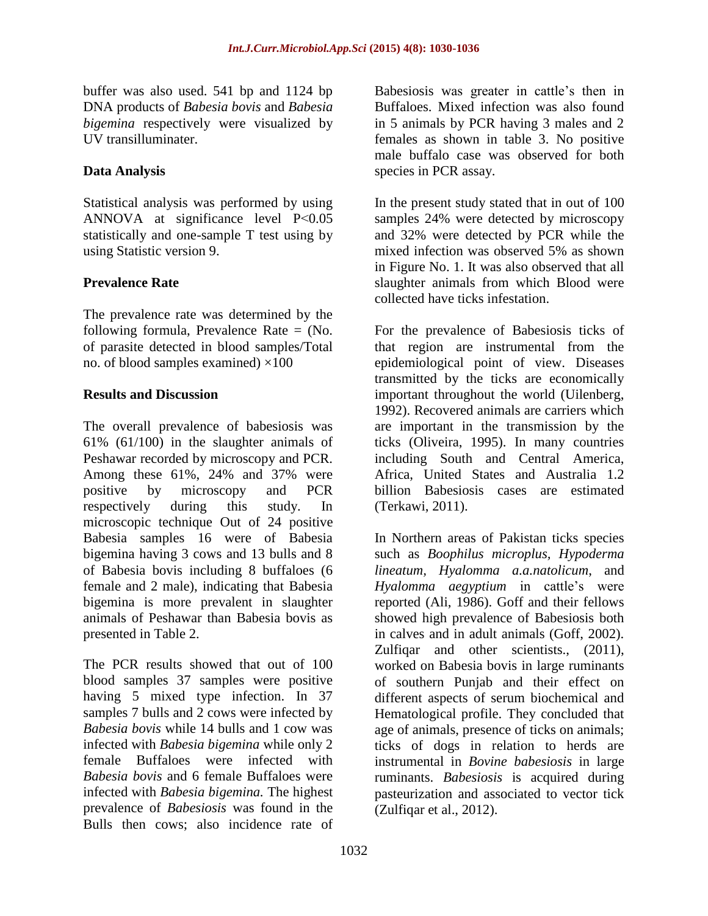buffer was also used. 541 bp and 1124 bp DNA products of *Babesia bovis* and *Babesia bigemina* respectively were visualized by UV transilluminater.

# **Data Analysis**

Statistical analysis was performed by using ANNOVA at significance level P˂0.05 statistically and one-sample T test using by using Statistic version 9.

## **Prevalence Rate**

The prevalence rate was determined by the following formula, Prevalence Rate = (No. of parasite detected in blood samples/Total no. of blood samples examined)  $\times 100$ 

### **Results and Discussion**

The overall prevalence of babesiosis was 61% (61/100) in the slaughter animals of Peshawar recorded by microscopy and PCR. Among these 61%, 24% and 37% were positive by microscopy and PCR respectively during this study. In microscopic technique Out of 24 positive Babesia samples 16 were of Babesia bigemina having 3 cows and 13 bulls and 8 of Babesia bovis including 8 buffaloes (6 female and 2 male), indicating that Babesia bigemina is more prevalent in slaughter animals of Peshawar than Babesia bovis as presented in Table 2.

The PCR results showed that out of 100 blood samples 37 samples were positive having 5 mixed type infection. In 37 samples 7 bulls and 2 cows were infected by *Babesia bovis* while 14 bulls and 1 cow was infected with *Babesia bigemina* while only 2 female Buffaloes were infected with *Babesia bovis* and 6 female Buffaloes were infected with *Babesia bigemina.* The highest prevalence of *Babesiosis* was found in the Bulls then cows; also incidence rate of

Babesiosis was greater in cattle's then in Buffaloes. Mixed infection was also found in 5 animals by PCR having 3 males and 2 females as shown in table 3. No positive male buffalo case was observed for both species in PCR assay.

In the present study stated that in out of 100 samples 24% were detected by microscopy and 32% were detected by PCR while the mixed infection was observed 5% as shown in Figure No. 1. It was also observed that all slaughter animals from which Blood were collected have ticks infestation.

For the prevalence of Babesiosis ticks of that region are instrumental from the epidemiological point of view. Diseases transmitted by the ticks are economically important throughout the world (Uilenberg, 1992). Recovered animals are carriers which are important in the transmission by the ticks (Oliveira, 1995). In many countries including South and Central America, Africa, United States and Australia 1.2 billion Babesiosis cases are estimated (Terkawi, 2011).

In Northern areas of Pakistan ticks species such as *Boophilus microplus, Hypoderma lineatum, Hyalomma a.a.natolicum*, and *Hyalomma aegyptium* in cattle's were reported (Ali, 1986). Goff and their fellows showed high prevalence of Babesiosis both in calves and in adult animals (Goff, 2002). Zulfiqar and other scientists., (2011). worked on Babesia bovis in large ruminants of southern Punjab and their effect on different aspects of serum biochemical and Hematological profile. They concluded that age of animals, presence of ticks on animals; ticks of dogs in relation to herds are instrumental in *Bovine babesiosis* in large ruminants. *Babesiosis* is acquired during pasteurization and associated to vector tick (Zulfiqar et al., 2012).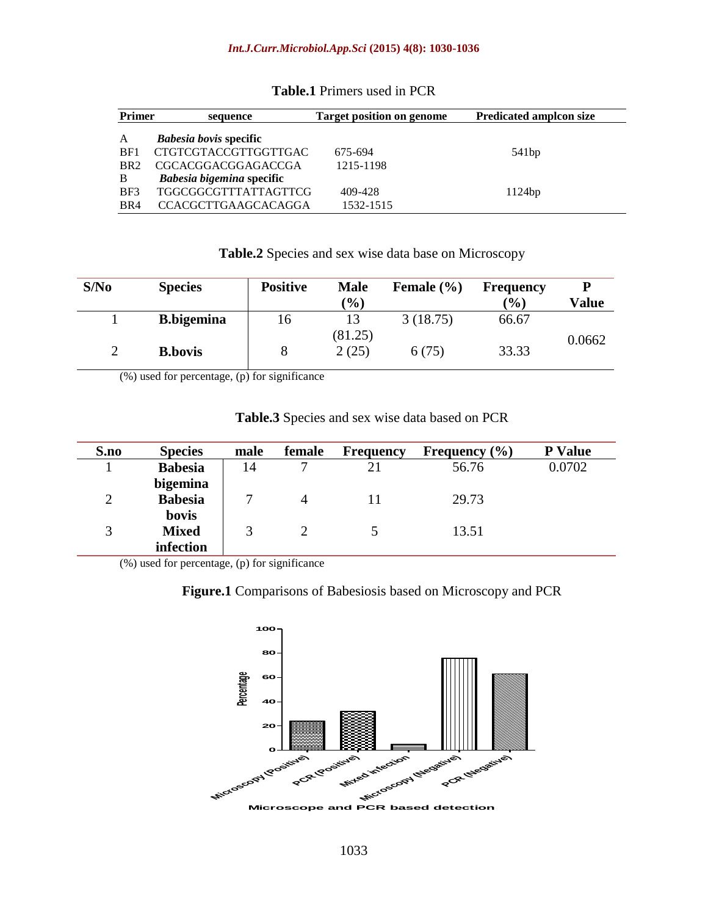| <b>Primer</b>   | sequence                      | <b>Target position on genome</b> | <b>Predicated ampleon size</b> |
|-----------------|-------------------------------|----------------------------------|--------------------------------|
| A               | <i>Babesia bovis</i> specific |                                  |                                |
| BF1             | CTGTCGTACCGTTGGTTGAC          | 675-694                          | 541bp                          |
| BR <sub>2</sub> | CGCACGGACGGAGACCGA            | 1215-1198                        |                                |
| B               | Babesia bigemina specific     |                                  |                                |
| BF3             | <b>TGGCGGCGTTTATTAGTTCG</b>   | 409-428                          | 1124bp                         |
| BR4             | <b>CCACGCTTGAAGCACAGGA</b>    | 1532-1515                        |                                |

#### **Table.1** Primers used in PCR

**Table.2** Species and sex wise data base on Microscopy

| S/No | <b>Species</b>     | <b>Positive</b> | <b>Male</b><br>(%) | Female $(\% )$ | <b>Frequency</b><br>$\mathcal{O}(0)$ | Value  |
|------|--------------------|-----------------|--------------------|----------------|--------------------------------------|--------|
|      | <b>B.</b> bigemina | 16              | 13                 | 3(18.75)       | 66.67                                |        |
|      |                    |                 | (81.25)            |                |                                      | 0.0662 |
| ∠    | <b>B.bovis</b>     |                 | 2(25)              | 6(75)          | 33.33                                |        |

(%) used for percentage, (p) for significance

| S.no           | <b>Species</b> | male | female   | <b>Frequency</b> | Frequency $(\% )$ | <b>P</b> Value |
|----------------|----------------|------|----------|------------------|-------------------|----------------|
|                | <b>Babesia</b> | 14   | −        |                  | 56.76             | 0.0702         |
|                | bigemina       |      |          |                  |                   |                |
| $\overline{2}$ | <b>Babesia</b> |      | 4        |                  | 29.73             |                |
|                | bovis          |      |          |                  |                   |                |
| 3              | <b>Mixed</b>   |      | $\gamma$ |                  | 13.51             |                |
|                | infection      |      |          |                  |                   |                |

**Table.3** Species and sex wise data based on PCR

(%) used for percentage, (p) for significance

#### **Figure.1** Comparisons of Babesiosis based on Microscopy and PCR

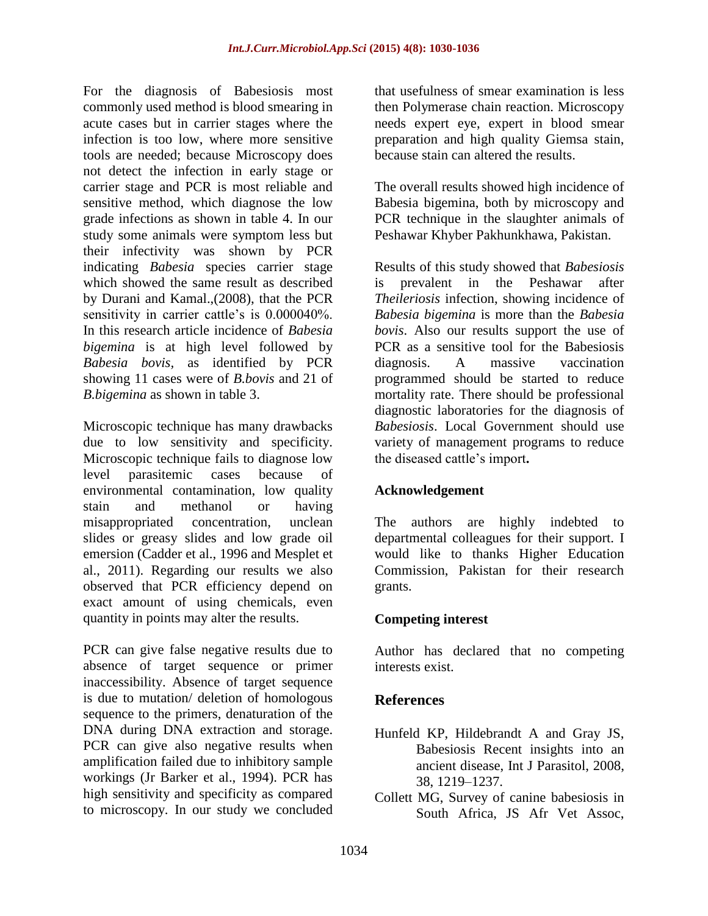For the diagnosis of Babesiosis most commonly used method is blood smearing in acute cases but in carrier stages where the infection is too low, where more sensitive tools are needed; because Microscopy does not detect the infection in early stage or carrier stage and PCR is most reliable and sensitive method, which diagnose the low grade infections as shown in table 4. In our study some animals were symptom less but their infectivity was shown by PCR indicating *Babesia* species carrier stage which showed the same result as described by Durani and Kamal.,(2008), that the PCR sensitivity in carrier cattle's is 0.000040%. In this research article incidence of *Babesia bigemina* is at high level followed by *Babesia bovis,* as identified by PCR showing 11 cases were of *B.bovis* and 21 of *B.bigemina* as shown in table 3.

Microscopic technique has many drawbacks due to low sensitivity and specificity. Microscopic technique fails to diagnose low level parasitemic cases because of environmental contamination, low quality stain and methanol or having misappropriated concentration, unclean slides or greasy slides and low grade oil emersion (Cadder et al., 1996 and Mesplet et al., 2011). Regarding our results we also observed that PCR efficiency depend on exact amount of using chemicals, even quantity in points may alter the results.

PCR can give false negative results due to absence of target sequence or primer inaccessibility. Absence of target sequence is due to mutation/ deletion of homologous sequence to the primers, denaturation of the DNA during DNA extraction and storage. PCR can give also negative results when amplification failed due to inhibitory sample workings (Jr Barker et al., 1994). PCR has high sensitivity and specificity as compared to microscopy. In our study we concluded

that usefulness of smear examination is less then Polymerase chain reaction. Microscopy needs expert eye, expert in blood smear preparation and high quality Giemsa stain, because stain can altered the results.

The overall results showed high incidence of Babesia bigemina, both by microscopy and PCR technique in the slaughter animals of Peshawar Khyber Pakhunkhawa, Pakistan.

Results of this study showed that *Babesiosis* is prevalent in the Peshawar after *Theileriosis* infection, showing incidence of *Babesia bigemina* is more than the *Babesia bovis*. Also our results support the use of PCR as a sensitive tool for the Babesiosis diagnosis. A massive vaccination programmed should be started to reduce mortality rate. There should be professional diagnostic laboratories for the diagnosis of *Babesiosis*. Local Government should use variety of management programs to reduce the diseased cattle's import**.**

### **Acknowledgement**

The authors are highly indebted to departmental colleagues for their support. I would like to thanks Higher Education Commission, Pakistan for their research grants.

# **Competing interest**

Author has declared that no competing interests exist.

# **References**

- Hunfeld KP, Hildebrandt A and Gray JS, Babesiosis Recent insights into an ancient disease, Int J Parasitol, 2008, 38, 1219–1237.
- Collett MG, Survey of canine babesiosis in South Africa, JS Afr Vet Assoc,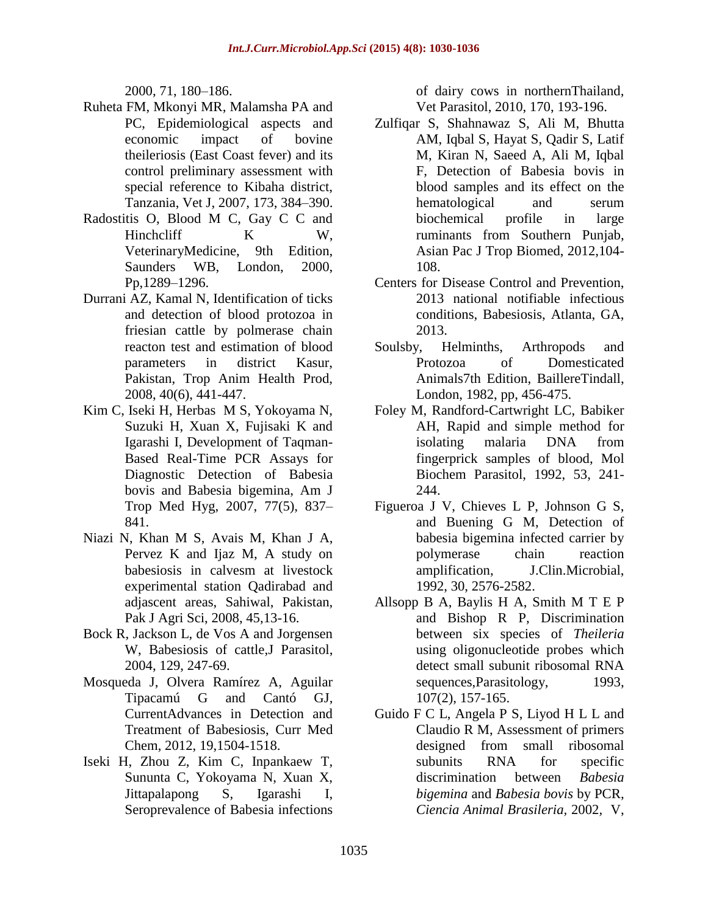2000, 71, 180–186.

- Ruheta FM, Mkonyi MR, Malamsha PA and PC, Epidemiological aspects and economic impact of bovine theileriosis (East Coast fever) and its control preliminary assessment with special reference to Kibaha district, Tanzania, Vet J, 2007, 173, 384–390.
- Radostitis O, Blood M C, Gay C C and Hinchcliff K W, VeterinaryMedicine, 9th Edition, Saunders WB, London, 2000, Pp,1289–1296.
- Durrani AZ, Kamal N, Identification of ticks and detection of blood protozoa in friesian cattle by polmerase chain reacton test and estimation of blood parameters in district Kasur, Pakistan, Trop Anim Health Prod, 2008, 40(6), 441-447.
- Kim C, Iseki H, Herbas M S, Yokoyama N, Suzuki H, Xuan X, Fujisaki K and Igarashi I, Development of Taqman-Based Real-Time PCR Assays for Diagnostic Detection of Babesia bovis and Babesia bigemina, Am J Trop Med Hyg, 2007, 77(5), 837– 841.
- Niazi N, Khan M S, Avais M, Khan J A, Pervez K and Ijaz M, A study on babesiosis in calvesm at livestock experimental station Qadirabad and adjascent areas, Sahiwal, Pakistan, Pak J Agri Sci, 2008, 45,13-16.
- Bock R, Jackson L, de Vos A and Jorgensen W, Babesiosis of cattle,J Parasitol, 2004, 129, 247-69.
- Mosqueda J, Olvera Ramírez A, Aguilar Tipacamú G and Cantó GJ, CurrentAdvances in Detection and Treatment of Babesiosis, Curr Med Chem, 2012, 19,1504-1518.
- Iseki H, Zhou Z, Kim C, Inpankaew T, Sununta C, Yokoyama N, Xuan X, Jittapalapong S, Igarashi I, Seroprevalence of Babesia infections

of dairy cows in northernThailand, Vet Parasitol, 2010, 170, 193-196.

- Zulfiqar S, Shahnawaz S, Ali M, Bhutta AM, Iqbal S, Hayat S, Qadir S, Latif M, Kiran N, Saeed A, Ali M, Iqbal F, Detection of Babesia bovis in blood samples and its effect on the hematological and serum biochemical profile in large ruminants from Southern Punjab, Asian Pac J Trop Biomed, 2012,104- 108.
- Centers for Disease Control and Prevention, 2013 national notifiable infectious conditions, Babesiosis, Atlanta, GA, 2013.
- Soulsby, Helminths, Arthropods and Protozoa of Domesticated Animals7th Edition, BaillereTindall, London, 1982, pp, 456-475.
- Foley M, Randford-Cartwright LC, Babiker AH, Rapid and simple method for isolating malaria DNA from fingerprick samples of blood, Mol Biochem Parasitol, 1992, 53, 241- 244.
- Figueroa J V, Chieves L P, Johnson G S, and Buening G M, Detection of babesia bigemina infected carrier by polymerase chain reaction amplification, J.Clin.Microbial, 1992, 30, 2576-2582.
- Allsopp B A, Baylis H A, Smith M T E P and Bishop R P, Discrimination between six species of *Theileria*  using oligonucleotide probes which detect small subunit ribosomal RNA sequences, Parasitology, 1993, 107(2), 157-165.
- Guido F C L, Angela P S, Liyod H L L and Claudio R M, Assessment of primers designed from small ribosomal subunits RNA for specific discrimination between *Babesia bigemina* and *Babesia bovis* by PCR, *Ciencia Animal Brasileria,* 2002*,* V,